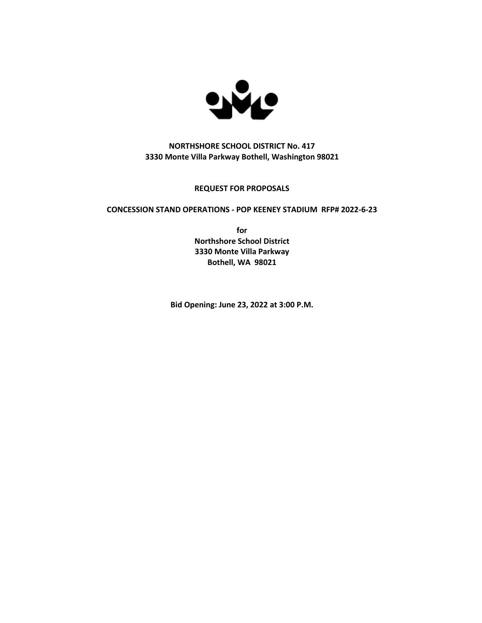

## **NORTHSHORE SCHOOL DISTRICT No. 417 3330 Monte Villa Parkway Bothell, Washington 98021**

## **REQUEST FOR PROPOSALS**

## **CONCESSION STAND OPERATIONS - POP KEENEY STADIUM RFP# 2022-6-23**

**for Northshore School District 3330 Monte Villa Parkway Bothell, WA 98021**

**Bid Opening: June 23, 2022 at 3:00 P.M.**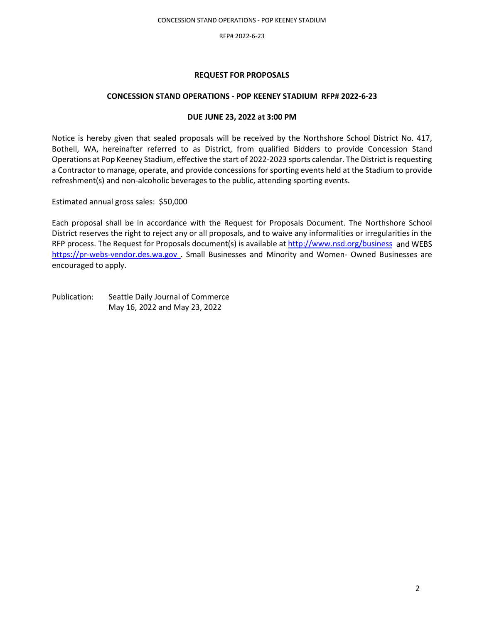## **REQUEST FOR PROPOSALS**

### **CONCESSION STAND OPERATIONS - POP KEENEY STADIUM RFP# 2022-6-23**

## **DUE JUNE 23, 2022 at 3:00 PM**

Notice is hereby given that sealed proposals will be received by the Northshore School District No. 417, Bothell, WA, hereinafter referred to as District, from qualified Bidders to provide Concession Stand Operations at Pop Keeney Stadium, effective the start of 2022-2023 sports calendar. The District is requesting a Contractor to manage, operate, and provide concessions for sporting events held at the Stadium to provide refreshment(s) and non-alcoholic beverages to the public, attending sporting events.

Estimated annual gross sales: \$50,000 - \$75,000

Each proposal shall be in accordance with the Request for Proposals Document. The Northshore School District reserves the right to reject any or all proposals, and to waive any informalities or irregularities in the RFP process. The Request for Proposals document(s) is available at<http://www.nsd.org/business>and WEBS [https://pr-webs-vendor.des.wa.gov](https://pr-webs-vendor.des.wa.gov/) . Small Businesses and Minority and Women- Owned Businesses are encouraged to apply.

Publication: Seattle Daily Journal of Commerce May 18, 2022 and May 25, 2022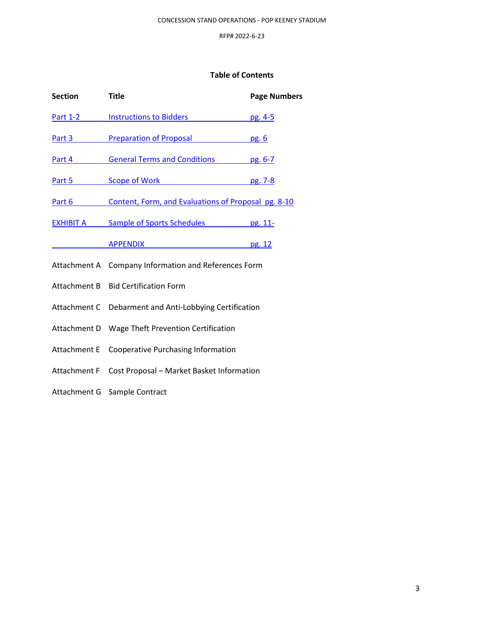## **Table of Contents**

| <b>Section</b>      | <b>Title</b>                                         | <b>Page Numbers</b> |  |
|---------------------|------------------------------------------------------|---------------------|--|
| <b>Part 1-2</b>     | <b>Instructions to Bidders</b>                       | pg. 4-5             |  |
| Part 3              | <b>Preparation of Proposal</b>                       | pg. 6               |  |
| Part 4              | <b>General Terms and Conditions</b>                  | pg. 6-7             |  |
| Part 5              | Scope of Work <b>Scope of Work</b>                   | pg. 7-8             |  |
| Part 6              | Content, Form, and Evaluations of Proposal pg. 8-10  |                     |  |
| EXHIBIT A           | Sample of Sports Schedules pg. 11-14                 |                     |  |
|                     | <b>APPENDIX</b>                                      | pg. 15              |  |
|                     | Attachment A Company Information and References Form |                     |  |
| Attachment B        | <b>Bid Certification Form</b>                        |                     |  |
| Attachment C        | Debarment and Anti-Lobbying Certification            |                     |  |
| Attachment D        | Wage Theft Prevention Certification                  |                     |  |
| <b>Attachment E</b> | <b>Cooperative Purchasing Information</b>            |                     |  |
| Attachment F        | Cost Proposal - Market Basket Information            |                     |  |
| Attachment G        | Sample Contract                                      |                     |  |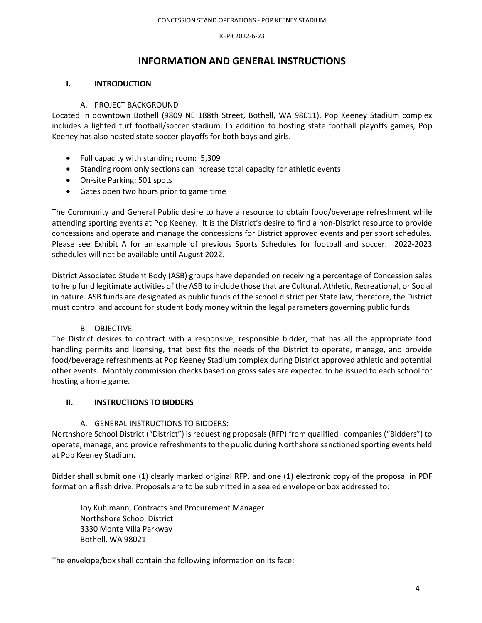## **INFORMATION AND GENERAL INSTRUCTIONS**

## <span id="page-3-0"></span>**I. INTRODUCTION**

## A. PROJECT BACKGROUND

Located in downtown Bothell (9809 NE 188th Street, Bothell, WA 98011), Pop Keeney Stadium complex includes a lighted turf football/soccer stadium. In addition to hosting state football playoffs games, Pop Keeney has also hosted state soccer playoffs for both boys and girls.

- Full capacity with standing room: 5,309
- Standing room only sections can increase total capacity for athletic events
- On-site Parking: 501 spots
- Gates open two hours prior to game time

The Community and General Public desire to have a resource to obtain food/beverage refreshment while attending sporting events at Pop Keeney. It is the District's desire to find a non-District resource to provide concessions and operate and manage the concessions for District approved events and per sport schedules. Please see Exhibit A for an example of previous Sports Schedules for football and soccer. 2022-2023 schedules will not be available until August 2022.

District Associated Student Body (ASB) groups have depended on receiving a percentage of Concession sales to help fund legitimate activities of the ASB to include those that are Cultural, Athletic, Recreational, or Social in nature. ASB funds are designated as public funds of the school district per State law, therefore, the District must control and account for student body money within the legal parameters governing public funds.

## B. OBJECTIVE

The District desires to contract with a responsive, responsible bidder, that has all the appropriate food handling permits and licensing, that best fits the needs of the District to operate, manage, and provide food/beverage refreshments at Pop Keeney Stadium complex during District approved athletic and potential other events. Monthly commission checks based on gross sales are expected to be issued to each school for hosting a home game.

## **II. INSTRUCTIONS TO BIDDERS**

## A. GENERAL INSTRUCTIONS TO BIDDERS:

Northshore School District ("District") is requesting proposals (RFP) from qualified companies ("Bidders") to operate, manage, and provide refreshments to the public during Northshore sanctioned sporting events held at Pop Keeney Stadium.

Bidder shall submit one (1) clearly marked original RFP, and one (1) electronic copy of the proposal in PDF format on a flash drive. Proposals are to be submitted in a sealed envelope or box addressed to:

Joy Kuhlmann, Contracts and Procurement Manager Northshore School District 3330 Monte Villa Parkway Bothell, WA 98021

The envelope/box shall contain the following information on its face: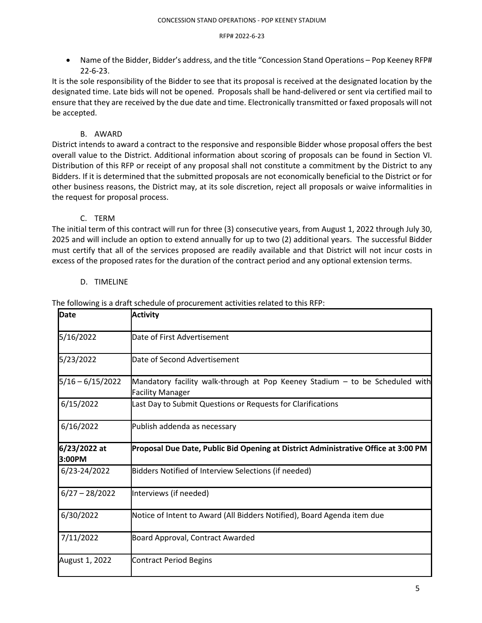• Name of the Bidder, Bidder's address, and the title "Concession Stand Operations – Pop Keeney RFP# 22-6-23.

It is the sole responsibility of the Bidder to see that its proposal is received at the designated location by the designated time. Late bids will not be opened. Proposals shall be hand-delivered or sent via certified mail to ensure that they are received by the due date and time. Electronically transmitted or faxed proposals will not be accepted.

## B. AWARD

District intends to award a contract to the responsive and responsible Bidder whose proposal offers the best overall value to the District. Additional information about scoring of proposals can be found in Section VI. Distribution of this RFP or receipt of any proposal shall not constitute a commitment by the District to any Bidders. If it is determined that the submitted proposals are not economically beneficial to the District or for other business reasons, the District may, at its sole discretion, reject all proposals or waive informalities in the request for proposal process.

## C. TERM

The initial term of this contract will run for three (3) consecutive years, from August 1, 2022 through July 30, 2025 and will include an option to extend annually for up to two (2) additional years. The successful Bidder must certify that all of the services proposed are readily available and that District will not incur costs in excess of the proposed rates for the duration of the contract period and any optional extension terms.

## D. TIMELINE

| <b>IDate</b>           | <b>Activity</b>                                                                                         |
|------------------------|---------------------------------------------------------------------------------------------------------|
| 5/18/2022              | Date of First Advertisement                                                                             |
| 5/25/2022              | Date of Second Advertisement                                                                            |
| $5/18 - 6/15/2022$     | Mandatory facility walk-through at Pop Keeney Stadium - to be Scheduled with<br><b>Facility Manager</b> |
| 6/15/2022              | Last Day to Submit Questions or Requests for Clarifications                                             |
| 6/16/2022              | Publish addenda as necessary                                                                            |
| 6/23/2022 at<br>3:00PM | Proposal Due Date, Public Bid Opening at District Administrative Office at 3:00 PM                      |
|                        |                                                                                                         |
| 6/23-24/2022           | Bidders Notified of Interview Selections (if needed)                                                    |
| $6/27 - 28/2022$       | Interviews (if needed)                                                                                  |
| 6/30/2022              | Notice of Intent to Award (All Bidders Notified), Board Agenda item due                                 |
| 7/11/2022              | Board Approval, Contract Awarded                                                                        |

The following is a draft schedule of procurement activities related to this RFP: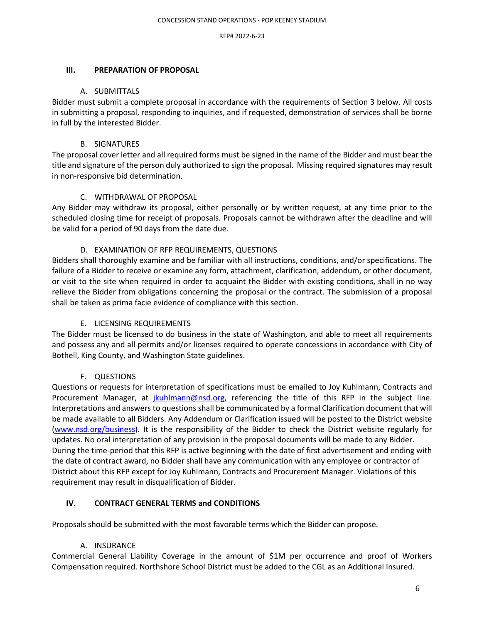## **Table of Contents**

| <b>Section</b>      | <b>Title</b>                                         | <b>Page Numbers</b> |  |
|---------------------|------------------------------------------------------|---------------------|--|
| <b>Part 1-2</b>     | <b>Instructions to Bidders</b>                       | pg. 4-5             |  |
| Part 3              | <b>Preparation of Proposal</b>                       | pg. 6               |  |
| Part 4              | <b>General Terms and Conditions</b>                  | pg. 6-7             |  |
| Part 5              | Scope of Work                                        | pg. 7-8             |  |
| Part 6              | Content, Form, and Evaluations of Proposal pg. 8-10  |                     |  |
| <b>EXHIBIT A</b>    | Sample of Sports Schedules                           | pg. 11- í ð         |  |
|                     | <b>APPENDIX</b>                                      | <u>pg. 1 n</u>      |  |
|                     | Attachment A Company Information and References Form |                     |  |
| Attachment B        | <b>Bid Certification Form</b>                        |                     |  |
| Attachment C        | Debarment and Anti-Lobbying Certification            |                     |  |
| Attachment D        | Wage Theft Prevention Certification                  |                     |  |
| <b>Attachment E</b> | <b>Cooperative Purchasing Information</b>            |                     |  |
| <b>Attachment F</b> | Cost Proposal - Market Basket Information            |                     |  |
| Attachment G        | Sample Contract                                      |                     |  |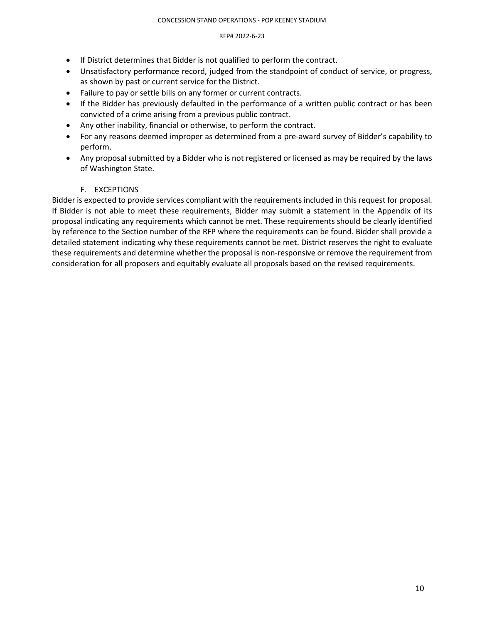## REQUEST FOR PPOSALS

## CONCESSION AND OPERATIONS - POP KEESTENDIUM RFP2022-6-23

## DUE JUNE32 2022 at 300 PM

Notice is hereby given that sealed proposals will be received by the Northshore School District No. 417, Bothell, WA, hereinafter referred to as District, from qualified Bidders to provide Concession Stand Operations at Pop Keeney Stadium, effective the start of 2022-2023 sports calendar. The District is requesting a Contractor to manage, operate, and provide concessions for sporting events held at the Stadium to provide refreshment(s) and non-alcoholic beverages to the public, attending sporting events.

Estimated annual gross sales: \$50,000

Each proposal shall be in accordance with the Request for Proposals Document. The Northshore School District reserves the right to reject any or all proposals, and to waive any informalities or irregularities in the RFP process. The Request for Proposals document(s) is available at http://www.nsd.org/business and WEBS https://pr-webs-vendor.des.wa.gov. Small Businesses and Minority and Women- Owned Businesses are encouraged to apply.

Publication: Seattle Daily Journal of Commerce May 1 Ô, 2022and May 2  $\tilde{n}$ , 2022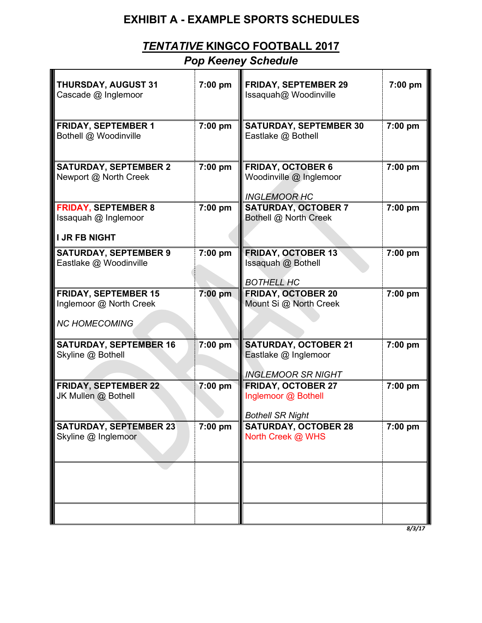# **EXHIBIT A - EXAMPLE SPORTS SCHEDULES**

# *TENTATIVE* **KINGCO FOOTBALL 2017**

# *Pop Keeney Schedule*

| THURSDAY, AUGUST 31<br>Cascade @ Inglemoor                                     | 7:00 pm   | <b>FRIDAY, SEPTEMBER 29</b><br>Issaquah@ Woodinville                             | 7:00 pm               |
|--------------------------------------------------------------------------------|-----------|----------------------------------------------------------------------------------|-----------------------|
| <b>FRIDAY, SEPTEMBER 1</b><br>Bothell @ Woodinville                            | $7:00$ pm | <b>SATURDAY, SEPTEMBER 30</b><br>Eastlake @ Bothell                              | 7:00 pm               |
| <b>SATURDAY, SEPTEMBER 2</b><br>Newport @ North Creek                          | 7:00 pm   | <b>FRIDAY, OCTOBER 6</b><br>Woodinville @ Inglemoor<br><b>INGLEMOOR HC</b>       | 7:00 pm               |
| <b>FRIDAY, SEPTEMBER 8</b><br>Issaquah @ Inglemoor<br><b>I JR FB NIGHT</b>     | 7:00 pm   | <b>SATURDAY, OCTOBER 7</b><br>Bothell @ North Creek                              | 7:00 pm               |
| <b>SATURDAY, SEPTEMBER 9</b><br>Eastlake @ Woodinville                         | 7:00 pm   | <b>FRIDAY, OCTOBER 13</b><br>Issaquah @ Bothell<br><b>BOTHELL HC</b>             | 7:00 pm               |
| <b>FRIDAY, SEPTEMBER 15</b><br>Inglemoor @ North Creek<br><b>NC HOMECOMING</b> | 7:00 pm   | <b>FRIDAY, OCTOBER 20</b><br>Mount Si @ North Creek                              | 7:00 pm               |
| <b>SATURDAY, SEPTEMBER 16</b><br>Skyline @ Bothell                             | 7:00 pm   | <b>SATURDAY, OCTOBER 21</b><br>Eastlake @ Inglemoor<br><b>INGLEMOOR SR NIGHT</b> | $\overline{7}$ :00 pm |
| <b>FRIDAY, SEPTEMBER 22</b><br>JK Mullen @ Bothell                             | 7:00 pm   | <b>FRIDAY, OCTOBER 27</b><br>Inglemoor @ Bothell<br><b>Bothell SR Night</b>      | 7:00 pm               |
| <b>SATURDAY, SEPTEMBER 23</b><br>Skyline @ Inglemoor                           | $7:00$ pm | SATURDAY, OCTOBER 28<br>North Creek @ WHS                                        | 7:00 pm               |
|                                                                                |           |                                                                                  |                       |
|                                                                                |           |                                                                                  |                       |

*8/3/17*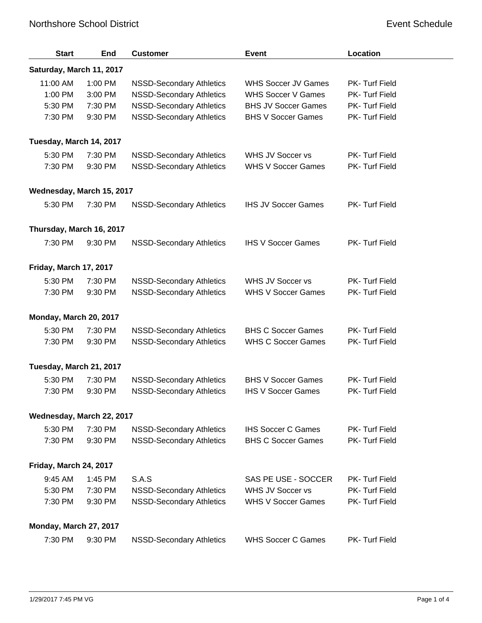## Northshore School District **Event Schedule** Event Schedule

| <b>Start</b>              | End     | <b>Customer</b>                 | <b>Event</b>               | Location       |
|---------------------------|---------|---------------------------------|----------------------------|----------------|
| Saturday, March 11, 2017  |         |                                 |                            |                |
| 11:00 AM                  | 1:00 PM | <b>NSSD-Secondary Athletics</b> | <b>WHS Soccer JV Games</b> | PK- Turf Field |
| 1:00 PM                   | 3:00 PM | <b>NSSD-Secondary Athletics</b> | <b>WHS Soccer V Games</b>  | PK- Turf Field |
| 5:30 PM                   | 7:30 PM | <b>NSSD-Secondary Athletics</b> | <b>BHS JV Soccer Games</b> | PK- Turf Field |
| 7:30 PM                   | 9:30 PM | <b>NSSD-Secondary Athletics</b> | <b>BHS V Soccer Games</b>  | PK- Turf Field |
| Tuesday, March 14, 2017   |         |                                 |                            |                |
| 5:30 PM                   | 7:30 PM | <b>NSSD-Secondary Athletics</b> | WHS JV Soccer vs           | PK- Turf Field |
| 7:30 PM                   | 9:30 PM | <b>NSSD-Secondary Athletics</b> | <b>WHS V Soccer Games</b>  | PK- Turf Field |
| Wednesday, March 15, 2017 |         |                                 |                            |                |
| 5:30 PM                   | 7:30 PM | <b>NSSD-Secondary Athletics</b> | <b>IHS JV Soccer Games</b> | PK- Turf Field |
| Thursday, March 16, 2017  |         |                                 |                            |                |
| 7:30 PM                   | 9:30 PM | <b>NSSD-Secondary Athletics</b> | <b>IHS V Soccer Games</b>  | PK- Turf Field |
| Friday, March 17, 2017    |         |                                 |                            |                |
| 5:30 PM                   | 7:30 PM | <b>NSSD-Secondary Athletics</b> | WHS JV Soccer vs           | PK- Turf Field |
| 7:30 PM                   | 9:30 PM | <b>NSSD-Secondary Athletics</b> | <b>WHS V Soccer Games</b>  | PK- Turf Field |
| Monday, March 20, 2017    |         |                                 |                            |                |
| 5:30 PM                   | 7:30 PM | <b>NSSD-Secondary Athletics</b> | <b>BHS C Soccer Games</b>  | PK- Turf Field |
| 7:30 PM                   | 9:30 PM | <b>NSSD-Secondary Athletics</b> | <b>WHS C Soccer Games</b>  | PK- Turf Field |
| Tuesday, March 21, 2017   |         |                                 |                            |                |
| 5:30 PM                   | 7:30 PM | <b>NSSD-Secondary Athletics</b> | <b>BHS V Soccer Games</b>  | PK- Turf Field |
| 7:30 PM                   | 9:30 PM | <b>NSSD-Secondary Athletics</b> | <b>IHS V Soccer Games</b>  | PK- Turf Field |
| Wednesday, March 22, 2017 |         |                                 |                            |                |
| 5:30 PM                   | 7:30 PM | <b>NSSD-Secondary Athletics</b> | <b>IHS Soccer C Games</b>  | PK-Turf Field  |
| 7:30 PM                   | 9:30 PM | <b>NSSD-Secondary Athletics</b> | <b>BHS C Soccer Games</b>  | PK- Turf Field |
| Friday, March 24, 2017    |         |                                 |                            |                |
| 9:45 AM                   | 1:45 PM | S.A.S                           | SAS PE USE - SOCCER        | PK- Turf Field |
| 5:30 PM                   | 7:30 PM | <b>NSSD-Secondary Athletics</b> | WHS JV Soccer vs           | PK- Turf Field |
| 7:30 PM                   | 9:30 PM | <b>NSSD-Secondary Athletics</b> | <b>WHS V Soccer Games</b>  | PK- Turf Field |
| Monday, March 27, 2017    |         |                                 |                            |                |
| 7:30 PM                   | 9:30 PM | <b>NSSD-Secondary Athletics</b> | <b>WHS Soccer C Games</b>  | PK-Turf Field  |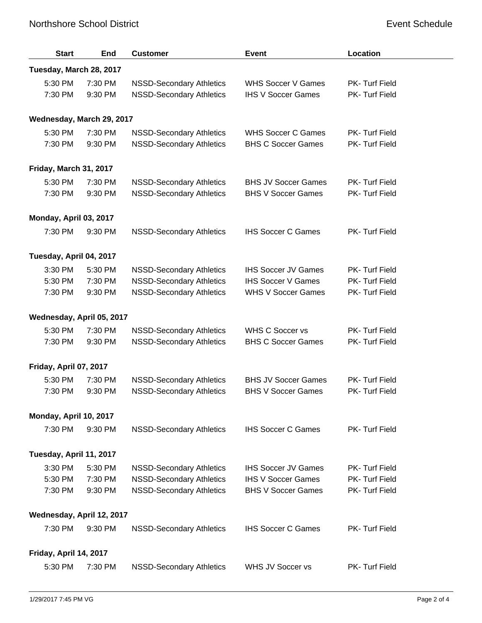## Northshore School District **Event Schedule** Event Schedule

| <b>Start</b>              | End     | <b>Customer</b>                 | <b>Event</b>               | Location       |
|---------------------------|---------|---------------------------------|----------------------------|----------------|
| Tuesday, March 28, 2017   |         |                                 |                            |                |
| 5:30 PM                   | 7:30 PM | <b>NSSD-Secondary Athletics</b> | <b>WHS Soccer V Games</b>  | PK-Turf Field  |
| 7:30 PM                   | 9:30 PM | <b>NSSD-Secondary Athletics</b> | <b>IHS V Soccer Games</b>  | PK- Turf Field |
| Wednesday, March 29, 2017 |         |                                 |                            |                |
| 5:30 PM                   | 7:30 PM | <b>NSSD-Secondary Athletics</b> | <b>WHS Soccer C Games</b>  | PK-Turf Field  |
| 7:30 PM                   | 9:30 PM | <b>NSSD-Secondary Athletics</b> | <b>BHS C Soccer Games</b>  | PK- Turf Field |
| Friday, March 31, 2017    |         |                                 |                            |                |
| 5:30 PM                   | 7:30 PM | <b>NSSD-Secondary Athletics</b> | <b>BHS JV Soccer Games</b> | PK-Turf Field  |
| 7:30 PM                   | 9:30 PM | <b>NSSD-Secondary Athletics</b> | <b>BHS V Soccer Games</b>  | PK- Turf Field |
| Monday, April 03, 2017    |         |                                 |                            |                |
| 7:30 PM                   | 9:30 PM | <b>NSSD-Secondary Athletics</b> | <b>IHS Soccer C Games</b>  | PK-Turf Field  |
| Tuesday, April 04, 2017   |         |                                 |                            |                |
| 3:30 PM                   | 5:30 PM | <b>NSSD-Secondary Athletics</b> | <b>IHS Soccer JV Games</b> | PK-Turf Field  |
| 5:30 PM                   | 7:30 PM | <b>NSSD-Secondary Athletics</b> | <b>IHS Soccer V Games</b>  | PK- Turf Field |
| 7:30 PM                   | 9:30 PM | <b>NSSD-Secondary Athletics</b> | <b>WHS V Soccer Games</b>  | PK- Turf Field |
| Wednesday, April 05, 2017 |         |                                 |                            |                |
| 5:30 PM                   | 7:30 PM | <b>NSSD-Secondary Athletics</b> | <b>WHS C Soccer vs</b>     | PK-Turf Field  |
| 7:30 PM                   | 9:30 PM | <b>NSSD-Secondary Athletics</b> | <b>BHS C Soccer Games</b>  | PK- Turf Field |
| Friday, April 07, 2017    |         |                                 |                            |                |
| 5:30 PM                   | 7:30 PM | <b>NSSD-Secondary Athletics</b> | <b>BHS JV Soccer Games</b> | PK- Turf Field |
| 7:30 PM                   | 9:30 PM | <b>NSSD-Secondary Athletics</b> | <b>BHS V Soccer Games</b>  | PK- Turf Field |
| Monday, April 10, 2017    |         |                                 |                            |                |
| 7:30 PM                   | 9:30 PM | <b>NSSD-Secondary Athletics</b> | <b>IHS Soccer C Games</b>  | PK-Turf Field  |
| Tuesday, April 11, 2017   |         |                                 |                            |                |
| 3:30 PM                   | 5:30 PM | <b>NSSD-Secondary Athletics</b> | <b>IHS Soccer JV Games</b> | PK-Turf Field  |
| 5:30 PM                   | 7:30 PM | <b>NSSD-Secondary Athletics</b> | <b>IHS V Soccer Games</b>  | PK- Turf Field |
| 7:30 PM                   | 9:30 PM | <b>NSSD-Secondary Athletics</b> | <b>BHS V Soccer Games</b>  | PK-Turf Field  |
| Wednesday, April 12, 2017 |         |                                 |                            |                |
| 7:30 PM                   | 9:30 PM | <b>NSSD-Secondary Athletics</b> | <b>IHS Soccer C Games</b>  | PK-Turf Field  |
| Friday, April 14, 2017    |         |                                 |                            |                |
| 5:30 PM                   | 7:30 PM | <b>NSSD-Secondary Athletics</b> | WHS JV Soccer vs           | PK-Turf Field  |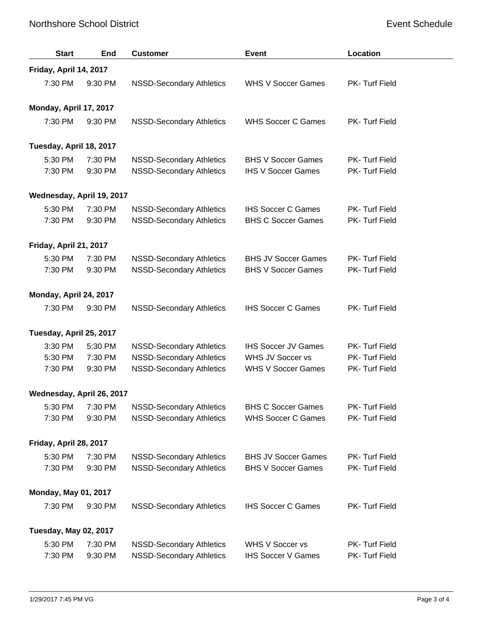## Northshore School District **Event Schedule** Event Schedule

| <b>Start</b>                 | <b>End</b>             | <b>Customer</b>                 | <b>Event</b>               | Location       |  |
|------------------------------|------------------------|---------------------------------|----------------------------|----------------|--|
|                              | Friday, April 14, 2017 |                                 |                            |                |  |
| 7:30 PM                      | 9:30 PM                | <b>NSSD-Secondary Athletics</b> | <b>WHS V Soccer Games</b>  | PK- Turf Field |  |
| Monday, April 17, 2017       |                        |                                 |                            |                |  |
| 7:30 PM                      | 9:30 PM                | <b>NSSD-Secondary Athletics</b> | <b>WHS Soccer C Games</b>  | PK- Turf Field |  |
| Tuesday, April 18, 2017      |                        |                                 |                            |                |  |
| 5:30 PM                      | 7:30 PM                | <b>NSSD-Secondary Athletics</b> | <b>BHS V Soccer Games</b>  | PK- Turf Field |  |
| 7:30 PM                      | 9:30 PM                | <b>NSSD-Secondary Athletics</b> | <b>IHS V Soccer Games</b>  | PK- Turf Field |  |
| Wednesday, April 19, 2017    |                        |                                 |                            |                |  |
| 5:30 PM                      | 7:30 PM                | <b>NSSD-Secondary Athletics</b> | <b>IHS Soccer C Games</b>  | PK-Turf Field  |  |
| 7:30 PM                      | 9:30 PM                | <b>NSSD-Secondary Athletics</b> | <b>BHS C Soccer Games</b>  | PK- Turf Field |  |
| Friday, April 21, 2017       |                        |                                 |                            |                |  |
| 5:30 PM                      | 7:30 PM                | <b>NSSD-Secondary Athletics</b> | <b>BHS JV Soccer Games</b> | PK- Turf Field |  |
| 7:30 PM                      | 9:30 PM                | <b>NSSD-Secondary Athletics</b> | <b>BHS V Soccer Games</b>  | PK- Turf Field |  |
| Monday, April 24, 2017       |                        |                                 |                            |                |  |
| 7:30 PM                      | 9:30 PM                | <b>NSSD-Secondary Athletics</b> | <b>IHS Soccer C Games</b>  | PK- Turf Field |  |
| Tuesday, April 25, 2017      |                        |                                 |                            |                |  |
| 3:30 PM                      | 5:30 PM                | <b>NSSD-Secondary Athletics</b> | <b>IHS Soccer JV Games</b> | PK- Turf Field |  |
| 5:30 PM                      | 7:30 PM                | <b>NSSD-Secondary Athletics</b> | WHS JV Soccer vs           | PK- Turf Field |  |
| 7:30 PM                      | 9:30 PM                | <b>NSSD-Secondary Athletics</b> | <b>WHS V Soccer Games</b>  | PK- Turf Field |  |
| Wednesday, April 26, 2017    |                        |                                 |                            |                |  |
| 5:30 PM                      | 7:30 PM                | <b>NSSD-Secondary Athletics</b> | <b>BHS C Soccer Games</b>  | PK- Turf Field |  |
| 7:30 PM                      | 9:30 PM                | <b>NSSD-Secondary Athletics</b> | <b>WHS Soccer C Games</b>  | PK- Turf Field |  |
| Friday, April 28, 2017       |                        |                                 |                            |                |  |
| 5:30 PM                      | 7:30 PM                | <b>NSSD-Secondary Athletics</b> | <b>BHS JV Soccer Games</b> | PK- Turf Field |  |
| 7:30 PM                      | 9:30 PM                | <b>NSSD-Secondary Athletics</b> | <b>BHS V Soccer Games</b>  | PK- Turf Field |  |
| <b>Monday, May 01, 2017</b>  |                        |                                 |                            |                |  |
| 7:30 PM                      | 9:30 PM                | <b>NSSD-Secondary Athletics</b> | <b>IHS Soccer C Games</b>  | PK- Turf Field |  |
| <b>Tuesday, May 02, 2017</b> |                        |                                 |                            |                |  |
| 5:30 PM                      | 7:30 PM                | <b>NSSD-Secondary Athletics</b> | WHS V Soccer vs            | PK- Turf Field |  |
| 7:30 PM                      | 9:30 PM                | <b>NSSD-Secondary Athletics</b> | <b>IHS Soccer V Games</b>  | PK- Turf Field |  |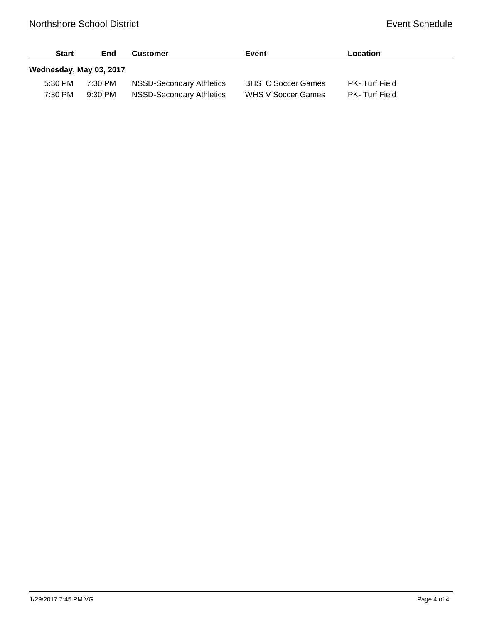| <b>Start</b>            | End     | <b>Customer</b>          | Event                     | Location             |
|-------------------------|---------|--------------------------|---------------------------|----------------------|
| Wednesday, May 03, 2017 |         |                          |                           |                      |
| 5:30 PM                 | 7:30 PM | NSSD-Secondary Athletics | <b>BHS C Soccer Games</b> | PK-Turf Field        |
| 7:30 PM                 | 9:30 PM | NSSD-Secondary Athletics | <b>WHS V Soccer Games</b> | <b>PK-Turf Field</b> |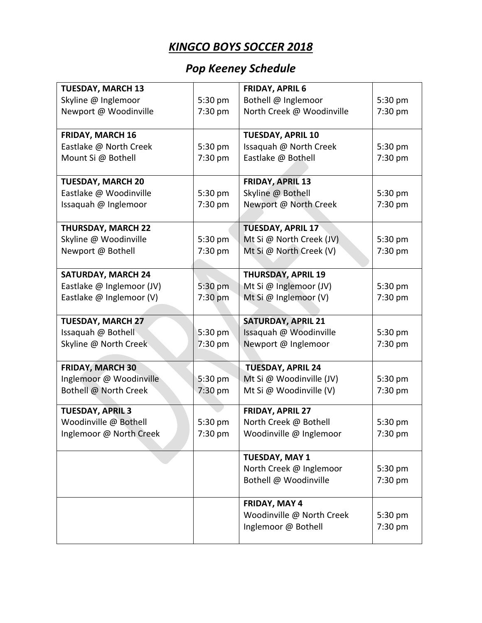# *KINGCO BOYS SOCCER 2018*

# *Pop Keeney Schedule*

| <b>TUESDAY, MARCH 13</b>  |           | <b>FRIDAY, APRIL 6</b>    |         |
|---------------------------|-----------|---------------------------|---------|
| Skyline @ Inglemoor       | 5:30 pm   | Bothell @ Inglemoor       | 5:30 pm |
| Newport @ Woodinville     | 7:30 pm   | North Creek @ Woodinville | 7:30 pm |
|                           |           |                           |         |
| <b>FRIDAY, MARCH 16</b>   |           | <b>TUESDAY, APRIL 10</b>  |         |
| Eastlake @ North Creek    | 5:30 pm   | Issaquah @ North Creek    | 5:30 pm |
| Mount Si @ Bothell        | 7:30 pm   | Eastlake @ Bothell        | 7:30 pm |
|                           |           |                           |         |
| <b>TUESDAY, MARCH 20</b>  |           | <b>FRIDAY, APRIL 13</b>   |         |
| Eastlake @ Woodinville    | 5:30 pm   | Skyline @ Bothell         | 5:30 pm |
| Issaquah @ Inglemoor      | 7:30 pm   | Newport @ North Creek     | 7:30 pm |
|                           |           |                           |         |
| <b>THURSDAY, MARCH 22</b> |           | <b>TUESDAY, APRIL 17</b>  |         |
| Skyline @ Woodinville     | 5:30 pm   | Mt Si @ North Creek (JV)  | 5:30 pm |
| Newport @ Bothell         | 7:30 pm   | Mt Si @ North Creek (V)   | 7:30 pm |
|                           |           |                           |         |
| <b>SATURDAY, MARCH 24</b> |           | <b>THURSDAY, APRIL 19</b> |         |
| Eastlake @ Inglemoor (JV) | 5:30 pm   | Mt Si @ Inglemoor (JV)    | 5:30 pm |
| Eastlake @ Inglemoor (V)  | $7:30$ pm | Mt Si @ Inglemoor (V)     | 7:30 pm |
|                           |           |                           |         |
| <b>TUESDAY, MARCH 27</b>  |           | <b>SATURDAY, APRIL 21</b> |         |
| Issaquah @ Bothell        | 5:30 pm   | Issaquah @ Woodinville    | 5:30 pm |
| Skyline @ North Creek     | 7:30 pm   | Newport @ Inglemoor       | 7:30 pm |
|                           |           |                           |         |
| <b>FRIDAY, MARCH 30</b>   |           | <b>TUESDAY, APRIL 24</b>  |         |
| Inglemoor @ Woodinville   | 5:30 pm   | Mt Si @ Woodinville (JV)  | 5:30 pm |
| Bothell @ North Creek     | 7:30 pm   | Mt Si @ Woodinville (V)   | 7:30 pm |
| <b>TUESDAY, APRIL 3</b>   |           | FRIDAY, APRIL 27          |         |
| Woodinville @ Bothell     | 5:30 pm   | North Creek @ Bothell     | 5:30 pm |
| Inglemoor @ North Creek   | 7:30 pm   | Woodinville @ Inglemoor   | 7:30 pm |
|                           |           |                           |         |
|                           |           | <b>TUESDAY, MAY 1</b>     |         |
|                           |           | North Creek @ Inglemoor   | 5:30 pm |
|                           |           | Bothell @ Woodinville     | 7:30 pm |
|                           |           |                           |         |
|                           |           | FRIDAY, MAY 4             |         |
|                           |           | Woodinville @ North Creek | 5:30 pm |
|                           |           | Inglemoor @ Bothell       | 7:30 pm |
|                           |           |                           |         |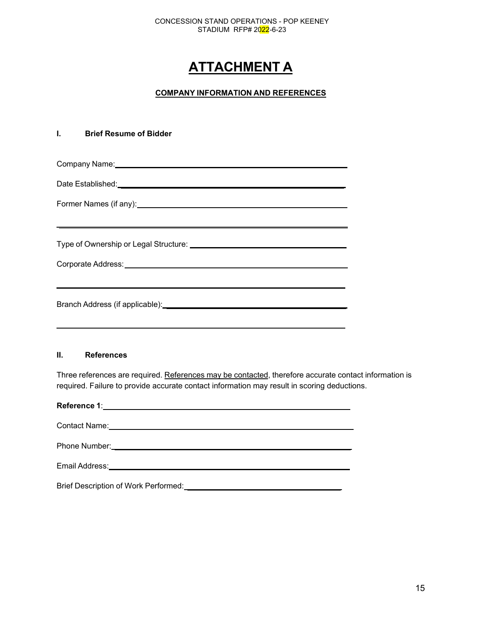### CONCESSION STAND OPERATIONS - POP KEENEY STADIUM RFP# 2022-6-23

# **ATTACHMENT A**

## **COMPANY INFORMATION AND REFERENCES**

## **I. Brief Resume of Bidder**

| Former Names (if any): <u>example and the set of the set of the set of the set of the set of the set of the set of the set of the set of the set of the set of the set of the set of the set of the set of the set of the set of</u> |
|--------------------------------------------------------------------------------------------------------------------------------------------------------------------------------------------------------------------------------------|
| Corporate Address: National Address and Address and Address and Address and Address and Address and Address and A                                                                                                                    |
|                                                                                                                                                                                                                                      |

### **II. References**

Three references are required. References may be contacted, therefore accurate contact information is required. Failure to provide accurate contact information may result in scoring deductions.

| Contact Name: |
|---------------|
|               |
|               |
|               |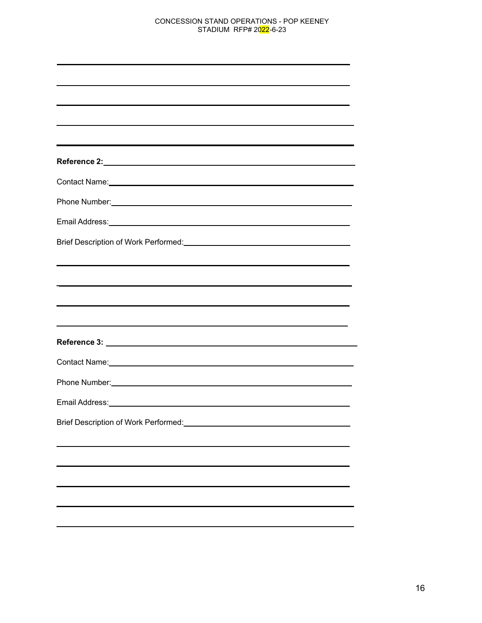### CONCESSION STAND OPERATIONS - POP KEENEY STADIUM RFP# 2022-6-23

| <u> 1989 - Johann Johann Stoff, deutscher Stoffen und der Stoffen und der Stoffen und der Stoffen und der Stoffen</u>                                                                                                          |
|--------------------------------------------------------------------------------------------------------------------------------------------------------------------------------------------------------------------------------|
|                                                                                                                                                                                                                                |
|                                                                                                                                                                                                                                |
|                                                                                                                                                                                                                                |
|                                                                                                                                                                                                                                |
|                                                                                                                                                                                                                                |
| Contact Name: Name and Second Contact Contact Assembly the Contact Contact Contact Contact Contact Contact Contact Contact Contact Contact Contact Contact Contact Contact Contact Contact Contact Contact Contact Contact Con |
|                                                                                                                                                                                                                                |
|                                                                                                                                                                                                                                |
|                                                                                                                                                                                                                                |
|                                                                                                                                                                                                                                |
| <u> 1989 - Johann Stoff, deutscher Stoff, der Stoff, der Stoff, der Stoff, der Stoff, der Stoff, der Stoff, der S</u>                                                                                                          |
|                                                                                                                                                                                                                                |
|                                                                                                                                                                                                                                |
|                                                                                                                                                                                                                                |
|                                                                                                                                                                                                                                |
|                                                                                                                                                                                                                                |
| Email Address: Universe and Secretary and Secretary and Secretary and Secretary and Secretary and Secretary and                                                                                                                |
|                                                                                                                                                                                                                                |
|                                                                                                                                                                                                                                |
|                                                                                                                                                                                                                                |
|                                                                                                                                                                                                                                |
|                                                                                                                                                                                                                                |
|                                                                                                                                                                                                                                |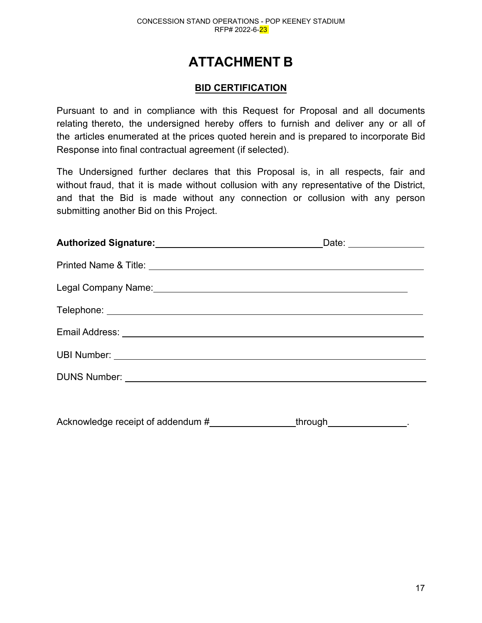# **ATTACHMENT B**

## **BID CERTIFICATION**

Pursuant to and in compliance with this Request for Proposal and all documents relating thereto, the undersigned hereby offers to furnish and deliver any or all of the articles enumerated at the prices quoted herein and is prepared to incorporate Bid Response into final contractual agreement (if selected).

The Undersigned further declares that this Proposal is, in all respects, fair and without fraud, that it is made without collusion with any representative of the District, and that the Bid is made without any connection or collusion with any person submitting another Bid on this Project.

| Authorized Signature: Management Control of Authorized Signature: | Date: _______________ |  |
|-------------------------------------------------------------------|-----------------------|--|
|                                                                   |                       |  |
|                                                                   |                       |  |
|                                                                   |                       |  |
|                                                                   |                       |  |
|                                                                   |                       |  |
|                                                                   |                       |  |
|                                                                   |                       |  |
|                                                                   |                       |  |

Acknowledge receipt of addendum # through through through the setting of an analysis of an analysis of the set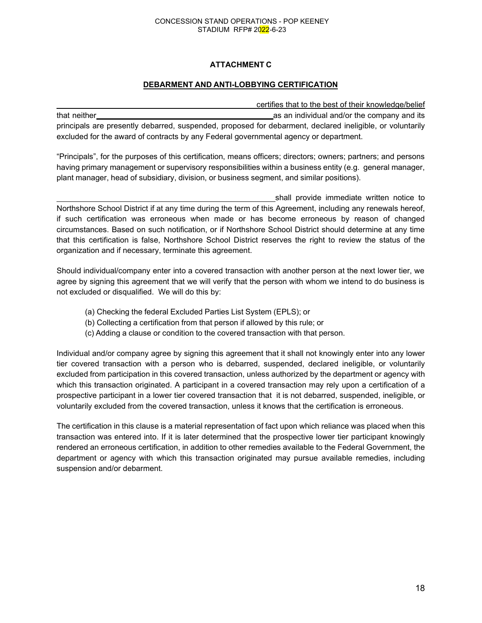### CONCESSION STAND OPERATIONS - POP KEENEY STADIUM RFP# 2022-6-23

## **ATTACHMENT C**

## **DEBARMENT AND ANTI-LOBBYING CERTIFICATION**

certifies that to the best of their knowledge/belief that neither as an individual and/or the company and its principals are presently debarred, suspended, proposed for debarment, declared ineligible, or voluntarily excluded for the award of contracts by any Federal governmental agency or department.

"Principals", for the purposes of this certification, means officers; directors; owners; partners; and persons having primary management or supervisory responsibilities within a business entity (e.g. general manager, plant manager, head of subsidiary, division, or business segment, and similar positions).

shall provide immediate written notice to Northshore School District if at any time during the term of this Agreement, including any renewals hereof, if such certification was erroneous when made or has become erroneous by reason of changed circumstances. Based on such notification, or if Northshore School District should determine at any time that this certification is false, Northshore School District reserves the right to review the status of the organization and if necessary, terminate this agreement.

Should individual/company enter into a covered transaction with another person at the next lower tier, we agree by signing this agreement that we will verify that the person with whom we intend to do business is not excluded or disqualified. We will do this by:

- (a) Checking the federal Excluded Parties List System (EPLS); or
- (b) Collecting a certification from that person if allowed by this rule; or
- (c) Adding a clause or condition to the covered transaction with that person.

Individual and/or company agree by signing this agreement that it shall not knowingly enter into any lower tier covered transaction with a person who is debarred, suspended, declared ineligible, or voluntarily excluded from participation in this covered transaction, unless authorized by the department or agency with which this transaction originated. A participant in a covered transaction may rely upon a certification of a prospective participant in a lower tier covered transaction that it is not debarred, suspended, ineligible, or voluntarily excluded from the covered transaction, unless it knows that the certification is erroneous.

The certification in this clause is a material representation of fact upon which reliance was placed when this transaction was entered into. If it is later determined that the prospective lower tier participant knowingly rendered an erroneous certification, in addition to other remedies available to the Federal Government, the department or agency with which this transaction originated may pursue available remedies, including suspension and/or debarment.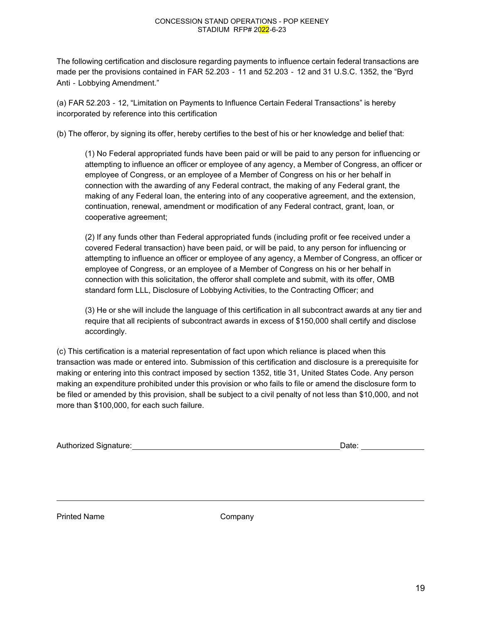### CONCESSION STAND OPERATIONS - POP KEENEY STADIUM RFP# 2022-6-23

The following certification and disclosure regarding payments to influence certain federal transactions are made per the provisions contained in FAR 52.203 ‐ 11 and 52.203 ‐ 12 and 31 U.S.C. 1352, the "Byrd Anti ‐ Lobbying Amendment."

(a) FAR 52.203 ‐ 12, "Limitation on Payments to Influence Certain Federal Transactions" is hereby incorporated by reference into this certification

(b) The offeror, by signing its offer, hereby certifies to the best of his or her knowledge and belief that:

(1) No Federal appropriated funds have been paid or will be paid to any person for influencing or attempting to influence an officer or employee of any agency, a Member of Congress, an officer or employee of Congress, or an employee of a Member of Congress on his or her behalf in connection with the awarding of any Federal contract, the making of any Federal grant, the making of any Federal loan, the entering into of any cooperative agreement, and the extension, continuation, renewal, amendment or modification of any Federal contract, grant, loan, or cooperative agreement;

(2) If any funds other than Federal appropriated funds (including profit or fee received under a covered Federal transaction) have been paid, or will be paid, to any person for influencing or attempting to influence an officer or employee of any agency, a Member of Congress, an officer or employee of Congress, or an employee of a Member of Congress on his or her behalf in connection with this solicitation, the offeror shall complete and submit, with its offer, OMB standard form LLL, Disclosure of Lobbying Activities, to the Contracting Officer; and

(3) He or she will include the language of this certification in all subcontract awards at any tier and require that all recipients of subcontract awards in excess of \$150,000 shall certify and disclose accordingly.

(c) This certification is a material representation of fact upon which reliance is placed when this transaction was made or entered into. Submission of this certification and disclosure is a prerequisite for making or entering into this contract imposed by section 1352, title 31, United States Code. Any person making an expenditure prohibited under this provision or who fails to file or amend the disclosure form to be filed or amended by this provision, shall be subject to a civil penalty of not less than \$10,000, and not more than \$100,000, for each such failure.

| Authorized Signature:<br>Date: |  |
|--------------------------------|--|
|--------------------------------|--|

Printed Name Company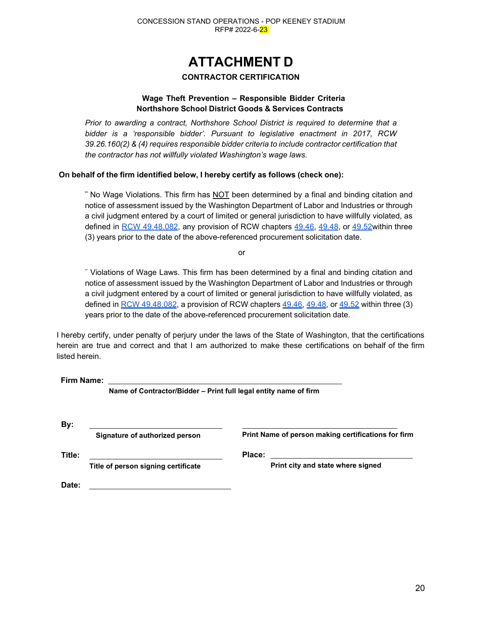# **ATTACHMENT D**

## **CONTRACTOR CERTIFICATION**

## **Wage Theft Prevention – Responsible Bidder Criteria Northshore School District Goods & Services Contracts**

*Prior to awarding a contract, Northshore School District is required to determine that a bidder is a 'responsible bidder'. Pursuant to legislative enactment in 2017, RCW 39.26.160(2) & (4) requires responsible bidder criteria to include contractor certification that the contractor has not willfully violated Washington's wage laws.*

## **On behalf of the firm identified below, I hereby certify as follows (check one):**

**¨** No Wage Violations. This firm has NOT been determined by a final and binding citation and notice of assessment issued by the Washington Department of Labor and Industries or through a civil judgment entered by a court of limited or general jurisdiction to have willfully violated, as defined in [RCW 49.48.082,](http://app.leg.wa.gov/RCW/default.aspx?cite=49.48.082) any provision of RCW chapters [49.46,](http://app.leg.wa.gov/RCW/default.aspx?cite=49.46) [49.48,](http://app.leg.wa.gov/RCW/default.aspx?cite=49.48) or 49.52 within three (3) years prior to the date of the above-referenced procurement solicitation date.

or

¨ Violations of Wage Laws. This firm has been determined by a final and binding citation and notice of assessment issued by the Washington Department of Labor and Industries or through a civil judgment entered by a court of limited or general jurisdiction to have willfully violated, as defined in [RCW 49.48.082,](http://app.leg.wa.gov/RCW/default.aspx?cite=49.48.082) a provision of RCW chapters [49.46,](http://app.leg.wa.gov/RCW/default.aspx?cite=49.46) [49.48,](http://app.leg.wa.gov/RCW/default.aspx?cite=49.48) or [49.52](http://app.leg.wa.gov/RCW/default.aspx?cite=49.52) within three (3) years prior to the date of the above-referenced procurement solicitation date.

I hereby certify, under penalty of perjury under the laws of the State of Washington, that the certifications herein are true and correct and that I am authorized to make these certifications on behalf of the firm listed herein.

**Firm Name:** 

**Name of Contractor/Bidder – Print full legal entity name of firm**

| By:    |                                     |                                                     |
|--------|-------------------------------------|-----------------------------------------------------|
|        | Signature of authorized person      | Print Name of person making certifications for firm |
| Title: |                                     | Place:                                              |
|        | Title of person signing certificate | Print city and state where signed                   |
| Date:  |                                     |                                                     |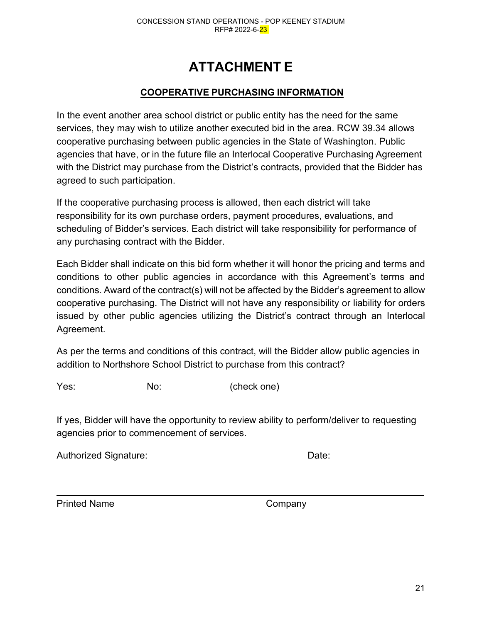# **ATTACHMENT E**

# **COOPERATIVE PURCHASING INFORMATION**

In the event another area school district or public entity has the need for the same services, they may wish to utilize another executed bid in the area. RCW 39.34 allows cooperative purchasing between public agencies in the State of Washington. Public agencies that have, or in the future file an Interlocal Cooperative Purchasing Agreement with the District may purchase from the District's contracts, provided that the Bidder has agreed to such participation.

If the cooperative purchasing process is allowed, then each district will take responsibility for its own purchase orders, payment procedures, evaluations, and scheduling of Bidder's services. Each district will take responsibility for performance of any purchasing contract with the Bidder.

Each Bidder shall indicate on this bid form whether it will honor the pricing and terms and conditions to other public agencies in accordance with this Agreement's terms and conditions. Award of the contract(s) will not be affected by the Bidder's agreement to allow cooperative purchasing. The District will not have any responsibility or liability for orders issued by other public agencies utilizing the District's contract through an Interlocal Agreement.

As per the terms and conditions of this contract, will the Bidder allow public agencies in addition to Northshore School District to purchase from this contract?

Yes: No: (check one)

If yes, Bidder will have the opportunity to review ability to perform/deliver to requesting agencies prior to commencement of services.

| <b>Authorized Signature:</b> | Date: |  |
|------------------------------|-------|--|
|                              |       |  |

Printed Name Company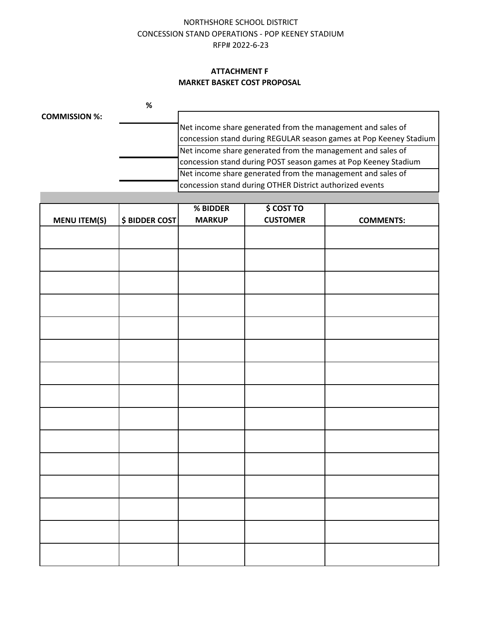## NORTHSHORE SCHOOL DISTRICT CONCESSION STAND OPERATIONS - POP KEENEY STADIUM RFP# 2022-6-23

## **ATTACHMENT F MARKET BASKET COST PROPOSAL**

|                      | % |                                                                    |
|----------------------|---|--------------------------------------------------------------------|
| <b>COMMISSION %:</b> |   |                                                                    |
|                      |   | Net income share generated from the management and sales of        |
|                      |   | concession stand during REGULAR season games at Pop Keeney Stadium |
|                      |   | Net income share generated from the management and sales of        |
|                      |   | concession stand during POST season games at Pop Keeney Stadium    |
|                      |   | Net income share generated from the management and sales of        |
|                      |   | concession stand during OTHER District authorized events           |

|                     |                       | % BIDDER      | \$ COST TO      |                  |
|---------------------|-----------------------|---------------|-----------------|------------------|
|                     | <b>\$ BIDDER COST</b> | <b>MARKUP</b> | <b>CUSTOMER</b> |                  |
| <b>MENU ITEM(S)</b> |                       |               |                 | <b>COMMENTS:</b> |
|                     |                       |               |                 |                  |
|                     |                       |               |                 |                  |
|                     |                       |               |                 |                  |
|                     |                       |               |                 |                  |
|                     |                       |               |                 |                  |
|                     |                       |               |                 |                  |
|                     |                       |               |                 |                  |
|                     |                       |               |                 |                  |
|                     |                       |               |                 |                  |
|                     |                       |               |                 |                  |
|                     |                       |               |                 |                  |
|                     |                       |               |                 |                  |
|                     |                       |               |                 |                  |
|                     |                       |               |                 |                  |
|                     |                       |               |                 |                  |
|                     |                       |               |                 |                  |
|                     |                       |               |                 |                  |
|                     |                       |               |                 |                  |
|                     |                       |               |                 |                  |
|                     |                       |               |                 |                  |
|                     |                       |               |                 |                  |
|                     |                       |               |                 |                  |
|                     |                       |               |                 |                  |
|                     |                       |               |                 |                  |
|                     |                       |               |                 |                  |
|                     |                       |               |                 |                  |
|                     |                       |               |                 |                  |
|                     |                       |               |                 |                  |
|                     |                       |               |                 |                  |
|                     |                       |               |                 |                  |
|                     |                       |               |                 |                  |
|                     |                       |               |                 |                  |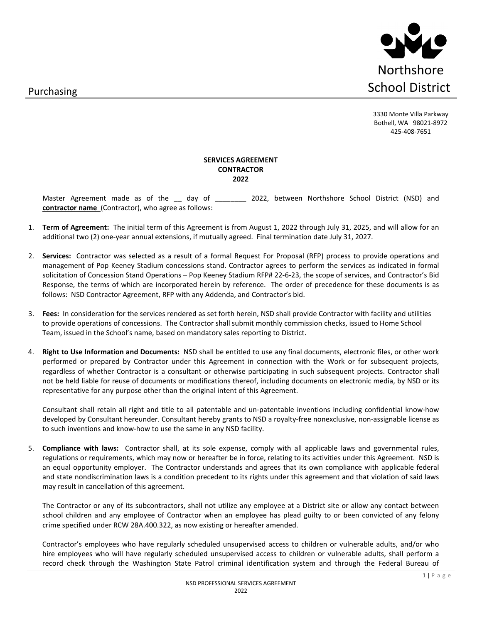Purchasing



3330 Monte Villa Parkway Bothell, WA 98021-8972 425-408-7651

### **SERVICES AGREEMENT CONTRACTOR 2022**

Master Agreement made as of the \_\_ day of \_\_\_\_\_\_\_\_\_ 2022, between Northshore School District (NSD) and **contractor name** (Contractor), who agree as follows:

- 1. **Term of Agreement:** The initial term of this Agreement is from August 1, 2022 through July 31, 2025, and will allow for an additional two (2) one-year annual extensions, if mutually agreed. Final termination date July 31, 2027.
- 2. **Services:** Contractor was selected as a result of a formal Request For Proposal (RFP) process to provide operations and management of Pop Keeney Stadium concessions stand. Contractor agrees to perform the services as indicated in formal solicitation of Concession Stand Operations – Pop Keeney Stadium RFP# 22-6-23, the scope of services, and Contractor's Bid Response, the terms of which are incorporated herein by reference. The order of precedence for these documents is as follows: NSD Contractor Agreement, RFP with any Addenda, and Contractor's bid.
- 3. **Fees:** In consideration for the services rendered as set forth herein, NSD shall provide Contractor with facility and utilities to provide operations of concessions. The Contractor shall submit monthly commission checks, issued to Home School Team, issued in the School's name, based on mandatory sales reporting to District.
- 4. **Right to Use Information and Documents:** NSD shall be entitled to use any final documents, electronic files, or other work performed or prepared by Contractor under this Agreement in connection with the Work or for subsequent projects, regardless of whether Contractor is a consultant or otherwise participating in such subsequent projects. Contractor shall not be held liable for reuse of documents or modifications thereof, including documents on electronic media, by NSD or its representative for any purpose other than the original intent of this Agreement.

Consultant shall retain all right and title to all patentable and un-patentable inventions including confidential know-how developed by Consultant hereunder. Consultant hereby grants to NSD a royalty-free nonexclusive, non-assignable license as to such inventions and know-how to use the same in any NSD facility.

5. **Compliance with laws:** Contractor shall, at its sole expense, comply with all applicable laws and governmental rules, regulations or requirements, which may now or hereafter be in force, relating to its activities under this Agreement. NSD is an equal opportunity employer. The Contractor understands and agrees that its own compliance with applicable federal and state nondiscrimination laws is a condition precedent to its rights under this agreement and that violation of said laws may result in cancellation of this agreement.

The Contractor or any of its subcontractors, shall not utilize any employee at a District site or allow any contact between school children and any employee of Contractor when an employee has plead guilty to or been convicted of any felony crime specified under RCW 28A.400.322, as now existing or hereafter amended.

Contractor's employees who have regularly scheduled unsupervised access to children or vulnerable adults, and/or who hire employees who will have regularly scheduled unsupervised access to children or vulnerable adults, shall perform a record check through the Washington State Patrol criminal identification system and through the Federal Bureau of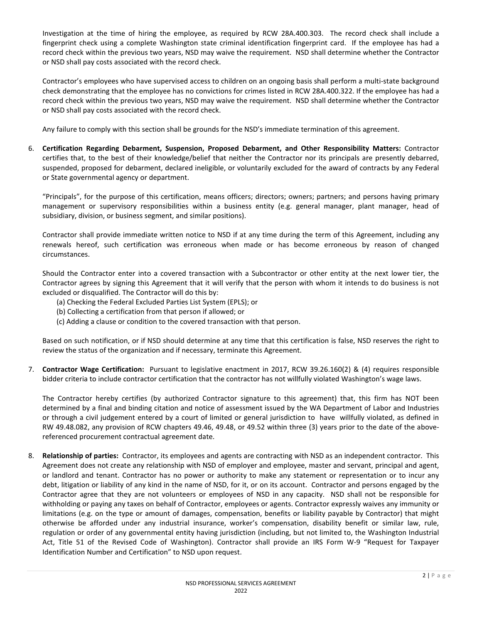Investigation at the time of hiring the employee, as required by RCW 28A.400.303. The record check shall include a fingerprint check using a complete Washington state criminal identification fingerprint card. If the employee has had a record check within the previous two years, NSD may waive the requirement. NSD shall determine whether the Contractor or NSD shall pay costs associated with the record check.

Contractor's employees who have supervised access to children on an ongoing basis shall perform a multi-state background check demonstrating that the employee has no convictions for crimes listed in RCW 28A.400.322. If the employee has had a record check within the previous two years, NSD may waive the requirement. NSD shall determine whether the Contractor or NSD shall pay costs associated with the record check.

Any failure to comply with this section shall be grounds for the NSD's immediate termination of this agreement.

6. **Certification Regarding Debarment, Suspension, Proposed Debarment, and Other Responsibility Matters:** Contractor certifies that, to the best of their knowledge/belief that neither the Contractor nor its principals are presently debarred, suspended, proposed for debarment, declared ineligible, or voluntarily excluded for the award of contracts by any Federal or State governmental agency or department.

"Principals", for the purpose of this certification, means officers; directors; owners; partners; and persons having primary management or supervisory responsibilities within a business entity (e.g. general manager, plant manager, head of subsidiary, division, or business segment, and similar positions).

Contractor shall provide immediate written notice to NSD if at any time during the term of this Agreement, including any renewals hereof, such certification was erroneous when made or has become erroneous by reason of changed circumstances.

Should the Contractor enter into a covered transaction with a Subcontractor or other entity at the next lower tier, the Contractor agrees by signing this Agreement that it will verify that the person with whom it intends to do business is not excluded or disqualified. The Contractor will do this by:

- (a) Checking the Federal Excluded Parties List System (EPLS); or
- (b) Collecting a certification from that person if allowed; or
- (c) Adding a clause or condition to the covered transaction with that person.

Based on such notification, or if NSD should determine at any time that this certification is false, NSD reserves the right to review the status of the organization and if necessary, terminate this Agreement.

7. **Contractor Wage Certification:** Pursuant to legislative enactment in 2017, RCW 39.26.160(2) & (4) requires responsible bidder criteria to include contractor certification that the contractor has not willfully violated Washington's wage laws.

The Contractor hereby certifies (by authorized Contractor signature to this agreement) that, this firm has NOT been determined by a final and binding citation and notice of assessment issued by the WA Department of Labor and Industries or through a civil judgement entered by a court of limited or general jurisdiction to have willfully violated, as defined in RW 49.48.082, any provision of RCW chapters 49.46, 49.48, or 49.52 within three (3) years prior to the date of the abovereferenced procurement contractual agreement date.

8. **Relationship of parties:** Contractor, its employees and agents are contracting with NSD as an independent contractor. This Agreement does not create any relationship with NSD of employer and employee, master and servant, principal and agent, or landlord and tenant. Contractor has no power or authority to make any statement or representation or to incur any debt, litigation or liability of any kind in the name of NSD, for it, or on its account. Contractor and persons engaged by the Contractor agree that they are not volunteers or employees of NSD in any capacity. NSD shall not be responsible for withholding or paying any taxes on behalf of Contractor, employees or agents. Contractor expressly waives any immunity or limitations (e.g. on the type or amount of damages, compensation, benefits or liability payable by Contractor) that might otherwise be afforded under any industrial insurance, worker's compensation, disability benefit or similar law, rule, regulation or order of any governmental entity having jurisdiction (including, but not limited to, the Washington Industrial Act, Title 51 of the Revised Code of Washington). Contractor shall provide an IRS Form W-9 "Request for Taxpayer Identification Number and Certification" to NSD upon request.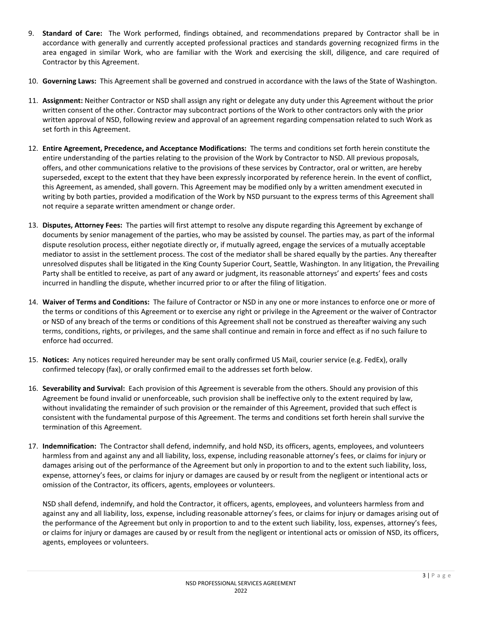- 9. **Standard of Care:** The Work performed, findings obtained, and recommendations prepared by Contractor shall be in accordance with generally and currently accepted professional practices and standards governing recognized firms in the area engaged in similar Work, who are familiar with the Work and exercising the skill, diligence, and care required of Contractor by this Agreement.
- 10. **Governing Laws:** This Agreement shall be governed and construed in accordance with the laws of the State of Washington.
- 11. **Assignment:** Neither Contractor or NSD shall assign any right or delegate any duty under this Agreement without the prior written consent of the other. Contractor may subcontract portions of the Work to other contractors only with the prior written approval of NSD, following review and approval of an agreement regarding compensation related to such Work as set forth in this Agreement.
- 12. **Entire Agreement, Precedence, and Acceptance Modifications:** The terms and conditions set forth herein constitute the entire understanding of the parties relating to the provision of the Work by Contractor to NSD. All previous proposals, offers, and other communications relative to the provisions of these services by Contractor, oral or written, are hereby superseded, except to the extent that they have been expressly incorporated by reference herein. In the event of conflict, this Agreement, as amended, shall govern. This Agreement may be modified only by a written amendment executed in writing by both parties, provided a modification of the Work by NSD pursuant to the express terms of this Agreement shall not require a separate written amendment or change order.
- 13. **Disputes, Attorney Fees:** The parties will first attempt to resolve any dispute regarding this Agreement by exchange of documents by senior management of the parties, who may be assisted by counsel. The parties may, as part of the informal dispute resolution process, either negotiate directly or, if mutually agreed, engage the services of a mutually acceptable mediator to assist in the settlement process. The cost of the mediator shall be shared equally by the parties. Any thereafter unresolved disputes shall be litigated in the King County Superior Court, Seattle, Washington. In any litigation, the Prevailing Party shall be entitled to receive, as part of any award or judgment, its reasonable attorneys' and experts' fees and costs incurred in handling the dispute, whether incurred prior to or after the filing of litigation.
- 14. **Waiver of Terms and Conditions:** The failure of Contractor or NSD in any one or more instances to enforce one or more of the terms or conditions of this Agreement or to exercise any right or privilege in the Agreement or the waiver of Contractor or NSD of any breach of the terms or conditions of this Agreement shall not be construed as thereafter waiving any such terms, conditions, rights, or privileges, and the same shall continue and remain in force and effect as if no such failure to enforce had occurred.
- 15. **Notices:** Any notices required hereunder may be sent orally confirmed US Mail, courier service (e.g. FedEx), orally confirmed telecopy (fax), or orally confirmed email to the addresses set forth below.
- 16. **Severability and Survival:** Each provision of this Agreement is severable from the others. Should any provision of this Agreement be found invalid or unenforceable, such provision shall be ineffective only to the extent required by law, without invalidating the remainder of such provision or the remainder of this Agreement, provided that such effect is consistent with the fundamental purpose of this Agreement. The terms and conditions set forth herein shall survive the termination of this Agreement.
- 17. **Indemnification:** The Contractor shall defend, indemnify, and hold NSD, its officers, agents, employees, and volunteers harmless from and against any and all liability, loss, expense, including reasonable attorney's fees, or claims for injury or damages arising out of the performance of the Agreement but only in proportion to and to the extent such liability, loss, expense, attorney's fees, or claims for injury or damages are caused by or result from the negligent or intentional acts or omission of the Contractor, its officers, agents, employees or volunteers.

NSD shall defend, indemnify, and hold the Contractor, it officers, agents, employees, and volunteers harmless from and against any and all liability, loss, expense, including reasonable attorney's fees, or claims for injury or damages arising out of the performance of the Agreement but only in proportion to and to the extent such liability, loss, expenses, attorney's fees, or claims for injury or damages are caused by or result from the negligent or intentional acts or omission of NSD, its officers, agents, employees or volunteers.